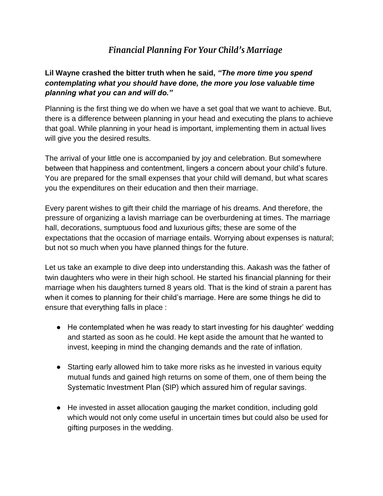## *Financial Planning For Your Child's Marriage*

## **Lil Wayne crashed the bitter truth when he said,** *"The more time you spend contemplating what you should have done, the more you lose valuable time planning what you can and will do."*

Planning is the first thing we do when we have a set goal that we want to achieve. But, there is a difference between planning in your head and executing the plans to achieve that goal. While planning in your head is important, implementing them in actual lives will give you the desired results.

The arrival of your little one is accompanied by joy and celebration. But somewhere between that happiness and contentment, lingers a concern about your child's future. You are prepared for the small expenses that your child will demand, but what scares you the expenditures on their education and then their marriage.

Every parent wishes to gift their child the marriage of his dreams. And therefore, the pressure of organizing a lavish marriage can be overburdening at times. The marriage hall, decorations, sumptuous food and luxurious gifts; these are some of the expectations that the occasion of marriage entails. Worrying about expenses is natural; but not so much when you have planned things for the future.

Let us take an example to dive deep into understanding this. Aakash was the father of twin daughters who were in their high school. He started his financial planning for their marriage when his daughters turned 8 years old. That is the kind of strain a parent has when it comes to planning for their child's marriage. Here are some things he did to ensure that everything falls in place :

- He contemplated when he was ready to start investing for his daughter' wedding and started as soon as he could. He kept aside the amount that he wanted to invest, keeping in mind the changing demands and the rate of inflation.
- Starting early allowed him to take more risks as he invested in various equity mutual funds and gained high returns on some of them, one of them being the Systematic Investment Plan (SIP) which assured him of regular savings.
- He invested in asset allocation gauging the market condition, including gold which would not only come useful in uncertain times but could also be used for gifting purposes in the wedding.